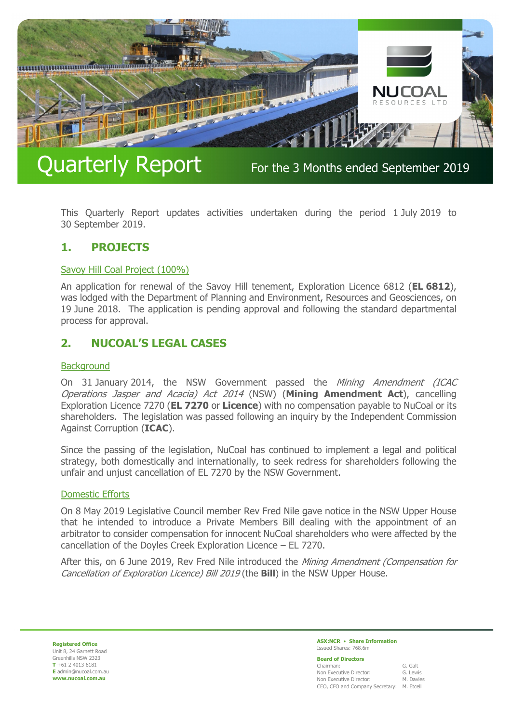

# Quarterly Report For the 3 Months ended September 2019

This Quarterly Report updates activities undertaken during the period 1 July 2019 to 30 September 2019.

# **1. PROJECTS**

# Savoy Hill Coal Project (100%)

An application for renewal of the Savoy Hill tenement, Exploration Licence 6812 (**EL 6812**), was lodged with the Department of Planning and Environment, Resources and Geosciences, on 19 June 2018. The application is pending approval and following the standard departmental process for approval.

# **2. NUCOAL'S LEGAL CASES**

# **Background**

On 31 January 2014, the NSW Government passed the Mining Amendment (ICAC Operations Jasper and Acacia) Act 2014 (NSW) (**Mining Amendment Act**), cancelling Exploration Licence 7270 (**EL 7270** or **Licence**) with no compensation payable to NuCoal or its shareholders. The legislation was passed following an inquiry by the Independent Commission Against Corruption (**ICAC**).

Since the passing of the legislation, NuCoal has continued to implement a legal and political strategy, both domestically and internationally, to seek redress for shareholders following the unfair and unjust cancellation of EL 7270 by the NSW Government.

# Domestic Efforts

On 8 May 2019 Legislative Council member Rev Fred Nile gave notice in the NSW Upper House that he intended to introduce a Private Members Bill dealing with the appointment of an arbitrator to consider compensation for innocent NuCoal shareholders who were affected by the cancellation of the Doyles Creek Exploration Licence – EL 7270.

After this, on 6 June 2019, Rev Fred Nile introduced the *Mining Amendment (Compensation for* Cancellation of Exploration Licence) Bill 2019 (the **Bill**) in the NSW Upper House.

**Registered Office** Unit 8, 24 Garnett Road Greenhills NSW 2323 **T** +61 2 4013 6181 **E** admin@nucoal.com.au **www.nucoal.com.au**

**ASX:NCR** • **Share Information**  Issued Shares: 768.6m

**Board of Directors** 

| Chairman:                                 | G. Galt   |
|-------------------------------------------|-----------|
| Non Executive Director:                   | G. Lewis  |
| Non Executive Director:                   | M. Davies |
| CEO, CFO and Company Secretary: M. Etcell |           |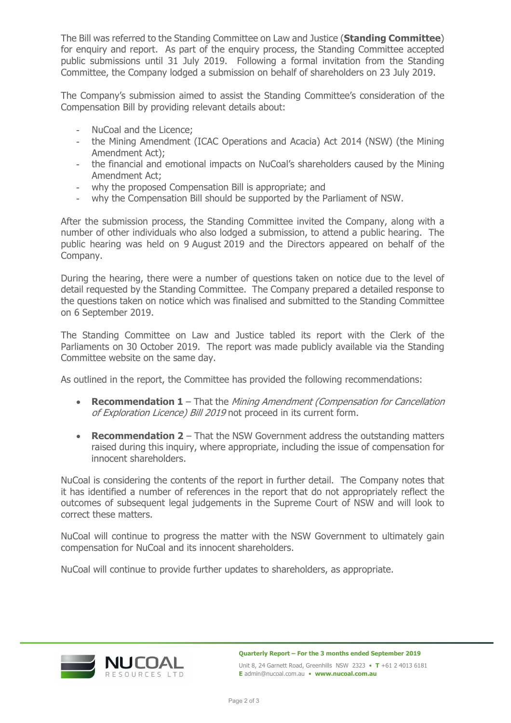The Bill was referred to the Standing Committee on Law and Justice (**Standing Committee**) for enquiry and report. As part of the enquiry process, the Standing Committee accepted public submissions until 31 July 2019. Following a formal invitation from the Standing Committee, the Company lodged a submission on behalf of shareholders on 23 July 2019.

The Company's submission aimed to assist the Standing Committee's consideration of the Compensation Bill by providing relevant details about:

- NuCoal and the Licence;
- the Mining Amendment (ICAC Operations and Acacia) Act 2014 (NSW) (the Mining Amendment Act);
- the financial and emotional impacts on NuCoal's shareholders caused by the Mining Amendment Act;
- why the proposed Compensation Bill is appropriate; and
- why the Compensation Bill should be supported by the Parliament of NSW.

After the submission process, the Standing Committee invited the Company, along with a number of other individuals who also lodged a submission, to attend a public hearing. The public hearing was held on 9 August 2019 and the Directors appeared on behalf of the Company.

During the hearing, there were a number of questions taken on notice due to the level of detail requested by the Standing Committee. The Company prepared a detailed response to the questions taken on notice which was finalised and submitted to the Standing Committee on 6 September 2019.

The Standing Committee on Law and Justice tabled its report with the Clerk of the Parliaments on 30 October 2019. The report was made publicly available via the Standing Committee website on the same day.

As outlined in the report, the Committee has provided the following recommendations:

- **Recommendation 1** That the Mining Amendment (Compensation for Cancellation of Exploration Licence) Bill 2019 not proceed in its current form.
- **Recommendation 2** That the NSW Government address the outstanding matters raised during this inquiry, where appropriate, including the issue of compensation for innocent shareholders.

NuCoal is considering the contents of the report in further detail. The Company notes that it has identified a number of references in the report that do not appropriately reflect the outcomes of subsequent legal judgements in the Supreme Court of NSW and will look to correct these matters.

NuCoal will continue to progress the matter with the NSW Government to ultimately gain compensation for NuCoal and its innocent shareholders.

NuCoal will continue to provide further updates to shareholders, as appropriate.



**Quarterly Report – For the 3 months ended September 2019**  Unit 8, 24 Garnett Road, Greenhills NSW 2323 • **T** +61 2 4013 6181 **E** admin@nucoal.com.au • **www.nucoal.com.au**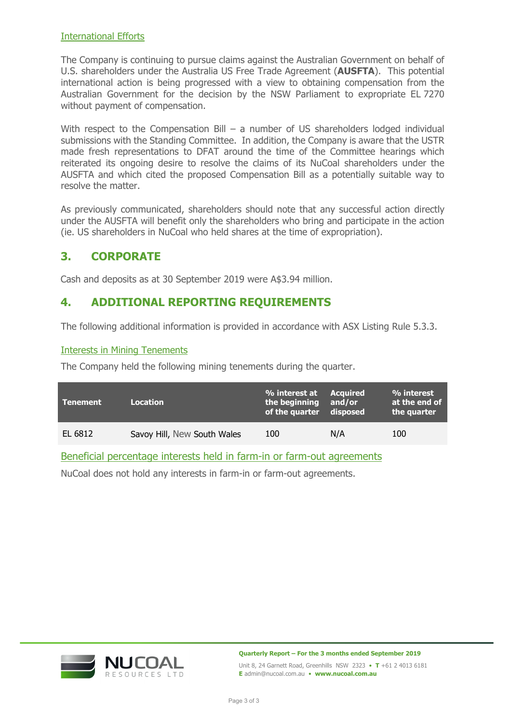# International Efforts

The Company is continuing to pursue claims against the Australian Government on behalf of U.S. shareholders under the Australia US Free Trade Agreement (**AUSFTA**). This potential international action is being progressed with a view to obtaining compensation from the Australian Government for the decision by the NSW Parliament to expropriate EL 7270 without payment of compensation.

With respect to the Compensation Bill – a number of US shareholders lodged individual submissions with the Standing Committee. In addition, the Company is aware that the USTR made fresh representations to DFAT around the time of the Committee hearings which reiterated its ongoing desire to resolve the claims of its NuCoal shareholders under the AUSFTA and which cited the proposed Compensation Bill as a potentially suitable way to resolve the matter.

As previously communicated, shareholders should note that any successful action directly under the AUSFTA will benefit only the shareholders who bring and participate in the action (ie. US shareholders in NuCoal who held shares at the time of expropriation).

# **3. CORPORATE**

Cash and deposits as at 30 September 2019 were A\$3.94 million.

# **4. ADDITIONAL REPORTING REQUIREMENTS**

The following additional information is provided in accordance with ASX Listing Rule 5.3.3.

# Interests in Mining Tenements

The Company held the following mining tenements during the quarter.

| <b>Tenement</b> | Location                    | % interest at Acquired<br>the beginning and/or<br>of the quarter disposed |     | % interest<br>at the end of<br>the quarter |
|-----------------|-----------------------------|---------------------------------------------------------------------------|-----|--------------------------------------------|
| EL 6812         | Savoy Hill, New South Wales | 100                                                                       | N/A | 100                                        |

Beneficial percentage interests held in farm-in or farm-out agreements

NuCoal does not hold any interests in farm-in or farm-out agreements.



**Quarterly Report – For the 3 months ended September 2019** 

Unit 8, 24 Garnett Road, Greenhills NSW 2323 • **T** +61 2 4013 6181 **E** admin@nucoal.com.au • **www.nucoal.com.au**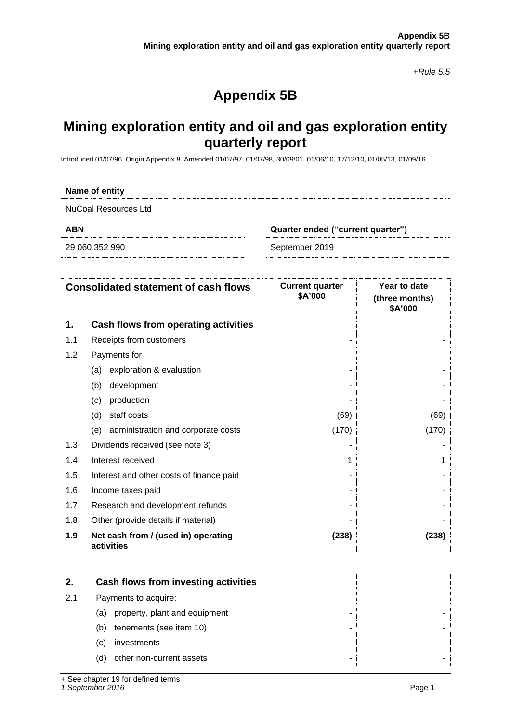*+Rule 5.5*

# **Appendix 5B**

# **Mining exploration entity and oil and gas exploration entity quarterly report**

Introduced 01/07/96 Origin Appendix 8 Amended 01/07/97, 01/07/98, 30/09/01, 01/06/10, 17/12/10, 01/05/13, 01/09/16

| ___ |  |  |
|-----|--|--|
|     |  |  |

NuCoal Resources Ltd

**ABN Quarter ended ("current quarter")**

29 060 352 990 September 2019

|     | <b>Consolidated statement of cash flows</b>       | <b>Current quarter</b><br>\$A'000 | Year to date<br>(three months)<br>\$A'000 |
|-----|---------------------------------------------------|-----------------------------------|-------------------------------------------|
| 1.  | Cash flows from operating activities              |                                   |                                           |
| 1.1 | Receipts from customers                           |                                   |                                           |
| 1.2 | Payments for                                      |                                   |                                           |
|     | exploration & evaluation<br>(a)                   |                                   |                                           |
|     | development<br>(b)                                |                                   |                                           |
|     | production<br>(c)                                 |                                   |                                           |
|     | staff costs<br>(d)                                | (69)                              | (69)                                      |
|     | administration and corporate costs<br>(e)         | (170)                             | (170)                                     |
| 1.3 | Dividends received (see note 3)                   |                                   |                                           |
| 1.4 | Interest received                                 |                                   |                                           |
| 1.5 | Interest and other costs of finance paid          |                                   |                                           |
| 1.6 | Income taxes paid                                 |                                   |                                           |
| 1.7 | Research and development refunds                  |                                   |                                           |
| 1.8 | Other (provide details if material)               |                                   |                                           |
| 1.9 | Net cash from / (used in) operating<br>activities | (238)                             | (238)                                     |

|     | Cash flows from investing activities |  |
|-----|--------------------------------------|--|
| 2.1 | Payments to acquire:                 |  |
|     | property, plant and equipment<br>(a) |  |
|     | tenements (see item 10)<br>(b)       |  |
|     | investments<br>(C)                   |  |
|     | other non-current assets<br>(d)      |  |

+ See chapter 19 for defined terms

*1 September 2016* Page 1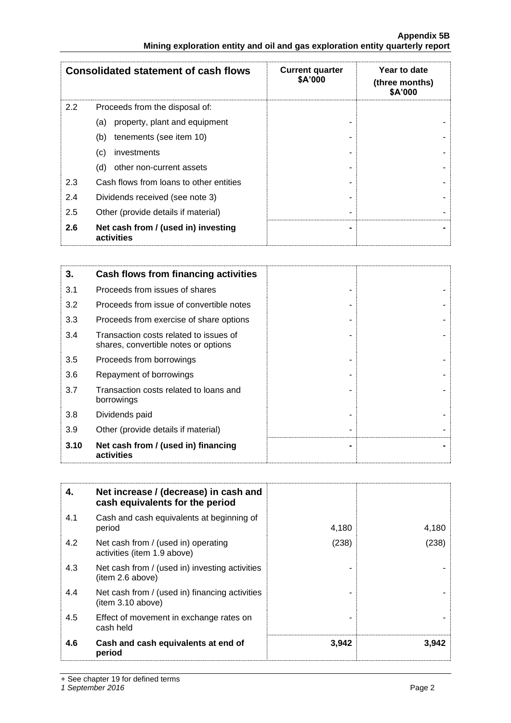|                                                                               | <b>Appendix 5B</b> |
|-------------------------------------------------------------------------------|--------------------|
| Mining exploration entity and oil and gas exploration entity quarterly report |                    |

|     | <b>Consolidated statement of cash flows</b>       | <b>Current quarter</b><br>\$A'000 | Year to date<br>(three months)<br>\$A'000 |
|-----|---------------------------------------------------|-----------------------------------|-------------------------------------------|
| 2.2 | Proceeds from the disposal of:                    |                                   |                                           |
|     | property, plant and equipment<br>(a)              |                                   |                                           |
|     | tenements (see item 10)<br>(b)                    |                                   |                                           |
|     | investments<br>(c)                                |                                   |                                           |
|     | other non-current assets<br>(d)                   |                                   |                                           |
| 2.3 | Cash flows from loans to other entities           |                                   |                                           |
| 2.4 | Dividends received (see note 3)                   |                                   |                                           |
| 2.5 | Other (provide details if material)               |                                   |                                           |
| 2.6 | Net cash from / (used in) investing<br>activities |                                   |                                           |

| 3.   | Cash flows from financing activities                                           |  |
|------|--------------------------------------------------------------------------------|--|
| 3.1  | Proceeds from issues of shares                                                 |  |
| 3.2  | Proceeds from issue of convertible notes                                       |  |
| 3.3  | Proceeds from exercise of share options                                        |  |
| 3.4  | Transaction costs related to issues of<br>shares, convertible notes or options |  |
| 3.5  | Proceeds from borrowings                                                       |  |
| 3.6  | Repayment of borrowings                                                        |  |
| 3.7  | Transaction costs related to loans and<br>borrowings                           |  |
| 3.8  | Dividends paid                                                                 |  |
| 3.9  | Other (provide details if material)                                            |  |
| 3.10 | Net cash from / (used in) financing<br>activities                              |  |

| 4.  | Net increase / (decrease) in cash and<br>cash equivalents for the period |       |       |
|-----|--------------------------------------------------------------------------|-------|-------|
| 4.1 | Cash and cash equivalents at beginning of<br>period                      | 4,180 | 4,180 |
| 4.2 | Net cash from / (used in) operating<br>activities (item 1.9 above)       | (238) | (238) |
| 4.3 | Net cash from / (used in) investing activities<br>(item 2.6 above)       |       |       |
| 4.4 | Net cash from / (used in) financing activities<br>item 3.10 above)       |       |       |
| 4.5 | Effect of movement in exchange rates on<br>cash held                     |       |       |
| 4.6 | Cash and cash equivalents at end of<br>period                            | 3,942 | 3,942 |

+ See chapter 19 for defined terms

*1 September 2016* Page 2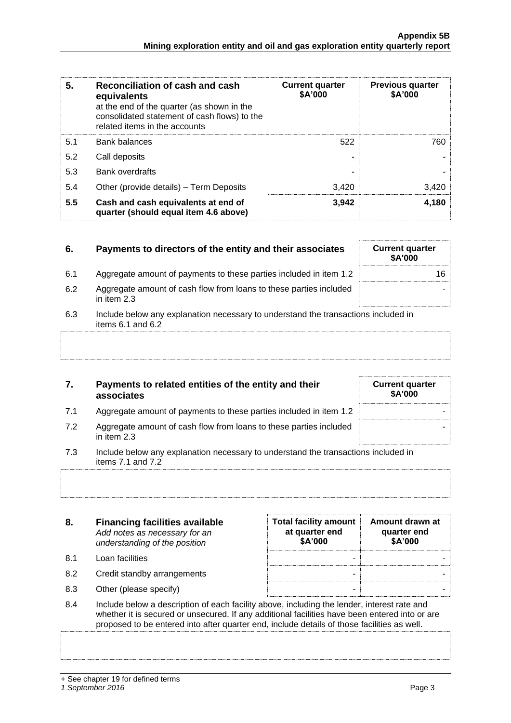| 5.  | Reconciliation of cash and cash<br>equivalents<br>at the end of the quarter (as shown in the<br>consolidated statement of cash flows) to the<br>related items in the accounts | <b>Current quarter</b><br>\$A'000 | <b>Previous quarter</b><br>\$A'000 |
|-----|-------------------------------------------------------------------------------------------------------------------------------------------------------------------------------|-----------------------------------|------------------------------------|
| 5.1 | <b>Bank balances</b>                                                                                                                                                          | 522                               | 760                                |
| 5.2 | Call deposits                                                                                                                                                                 |                                   |                                    |
| 5.3 | <b>Bank overdrafts</b>                                                                                                                                                        |                                   |                                    |
| 5.4 | Other (provide details) - Term Deposits                                                                                                                                       | 3,420                             | 3,420                              |
| 5.5 | Cash and cash equivalents at end of<br>quarter (should equal item 4.6 above)                                                                                                  | 3,942                             | 4,180                              |

| 6.  | Payments to directors of the entity and their associates                                                | <b>Current quarter</b><br>\$A'000 |
|-----|---------------------------------------------------------------------------------------------------------|-----------------------------------|
| 6.1 | Aggregate amount of payments to these parties included in item 1.2                                      | 16                                |
| 6.2 | Aggregate amount of cash flow from loans to these parties included<br>in item $2.3$                     |                                   |
| 6.3 | Include below any explanation necessary to understand the transactions included in<br>items 6.1 and 6.2 |                                   |
|     |                                                                                                         |                                   |

| 7.  | Payments to related entities of the entity and their<br>associates                        | <b>Current quarter</b><br>\$A'000 |
|-----|-------------------------------------------------------------------------------------------|-----------------------------------|
| 7.1 | Aggregate amount of payments to these parties included in item 1.2                        |                                   |
| 7.2 | Aggregate amount of cash flow from loans to these parties included<br>in item 2.3         |                                   |
| 7.3 | Include below any explanation necessary to understand the transactions included in<br>. – |                                   |

| 3. / | The lude below any explanation necessary to understand the transactions included in |
|------|-------------------------------------------------------------------------------------|
|      | items 7.1 and 7.2                                                                   |
|      |                                                                                     |

| 8.  | <b>Financing facilities available</b><br>Add notes as necessary for an<br>understanding of the position                                                                                                                                                                                      | <b>Total facility amount</b><br>at quarter end<br>\$A'000 | Amount drawn at<br>quarter end<br>\$A'000 |  |  |
|-----|----------------------------------------------------------------------------------------------------------------------------------------------------------------------------------------------------------------------------------------------------------------------------------------------|-----------------------------------------------------------|-------------------------------------------|--|--|
| 8.1 | Loan facilities                                                                                                                                                                                                                                                                              |                                                           |                                           |  |  |
| 8.2 | Credit standby arrangements                                                                                                                                                                                                                                                                  | -                                                         |                                           |  |  |
| 8.3 | Other (please specify)                                                                                                                                                                                                                                                                       | -                                                         |                                           |  |  |
| 8.4 | Include below a description of each facility above, including the lender, interest rate and<br>whether it is secured or unsecured. If any additional facilities have been entered into or are<br>proposed to be entered into after quarter end, include details of those facilities as well. |                                                           |                                           |  |  |